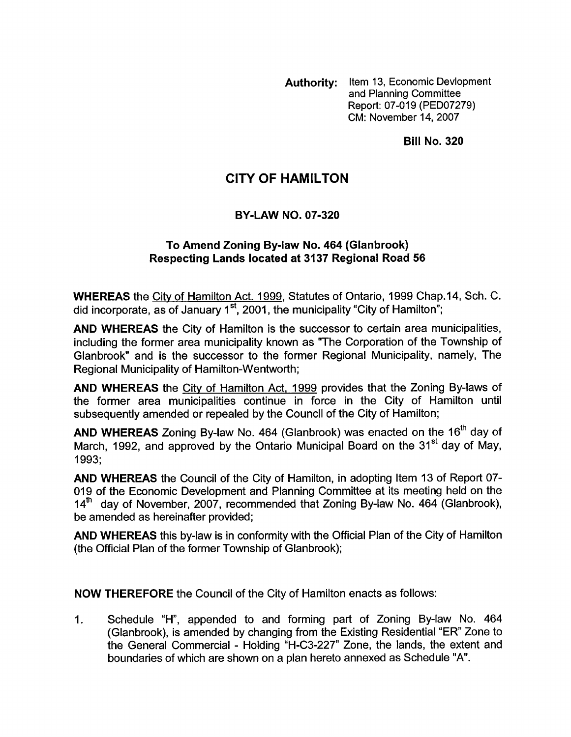**Authority:** Item 13, Economic Devlopment and Planning Committee Report: 07-019 (PED07279) CM: November 14,2007

**Bill No. 320** 

## **CITY OF HAMILTON**

## **BY-LAW NO. 07-320**

## **To Amend Zoning By-law No. 464 (Glanbrook) Respecting Lands located at 3137 Regional Road 56**

**WHEREAS** the Citv of Hamilton Act. 1999, Statutes of Ontario, 1999 Chap.14, Sch. C. did incorporate, as of January 1<sup>st</sup>, 2001, the municipality "City of Hamilton";

**AND WHEREAS** the City of Hamilton is the successor to certain area municipalities, including the former area municipality known as "The Corporation of the Township of Glanbrook" and is the successor to the former Regional Municipality, namely, The Regional Municipality of Hamilton-Wentworth;

**AND WHEREAS** the City of Hamilton Act, 1999 provides that the Zoning By-laws of the former area municipalities continue in force in the City of Hamilton until subsequently amended or repealed by the Council of the City of Hamilton;

AND WHEREAS Zoning By-law No. 464 (Glanbrook) was enacted on the 16<sup>th</sup> day of March, 1992, and approved by the Ontario Municipal Board on the 31<sup>st</sup> day of May, 1993;

**AND WHEREAS** the Council of the City of Hamilton, in adopting Item 13 of Report 07- 019 of the Economic Development and Planning Committee at its meeting held on the  $14<sup>th</sup>$  day of November, 2007, recommended that Zoning By-law No. 464 (Glanbrook), be amended as hereinafter provided;

**AND WHEREAS** this by-law is in conformity with the Official Plan of the City of Hamilton (the Official Plan of the former Township of Glanbrook);

**NOW THEREFORE** the Council of the City of Hamilton enacts as follows:

1. Schedule "H", appended to and forming part of Zoning By-law No. 464 (Glanbrook), is amended by changing from the Existing Residential "ER" Zone to the General Commercial - Holding "H-C3-227" Zone, the lands, the extent and boundaries of which are shown on a plan hereto annexed as Schedule "A".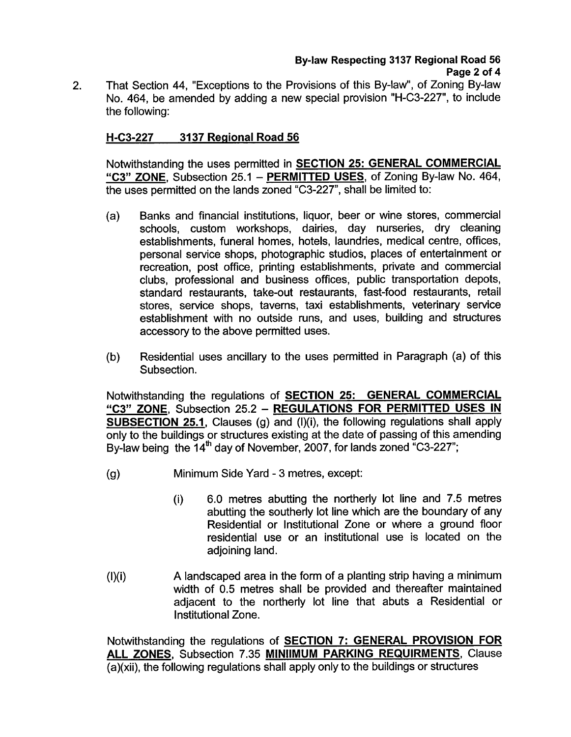That Section 44, "Exceptions to the Provisions of this By-law", of Zoning By-law No. 464, be amended by adding a new special provision "H-C3-227", to include the following: 2.

## **H-C3-227 3137 Regional Road 56**

Notwithstanding the uses permitted in **SECTION 25: GENERAL COMMERCIAL "C3" ZONE,** Subsection 25.1 - **PERMITTED USES,** of Zoning By-law No. 464, the uses permitted on the lands zoned "C3-227", shall be limited to:

- (a) Banks and financial institutions, liquor, beer or wine stores, commercial schools, custom workshops, dairies, day nurseries, dry cleaning establishments, funeral homes, hotels, laundries, medical centre, offices, personal service shops, photographic studios, places of entertainment or recreation, post office, printing establishments, private and commercial clubs, professional and business offices, public transportation depots, standard restaurants, take-out restaurants, fast-food restaurants, retail stores, service shops, taverns, taxi establishments, veterinary service establishment with no outside runs, and uses, building and structures accessory to the above permitted uses.
- (b) Residential uses ancillary to the uses permitted in Paragraph (a) of this Subsection.

Notwithstanding the regulations of **SECTION 25: GENERAL COMMERCIAL "C3" ZONE,** Subsection 25.2 - **REGULATIONS FOR PERMITTED USES IN SUBSECTION 25.1, Clauses (g) and (I)(i), the following regulations shall apply** only to the buildings or structures existing at the date of passing of this amending By-law being the  $14<sup>th</sup>$  day of November, 2007, for lands zoned "C3-227";

- (9) Minimum Side Yard 3 metres, except:
	- **(i)** 6.0 metres abutting the northerly lot line and 7.5 metres abutting the southerly lot line which are the boundary of any Residential or Institutional Zone or where a ground floor residential use or an institutional use is located on the adjoining land.
- (Mi) **A** landscaped area in the form of a planting strip having a minimum width of 0.5 metres shall be provided and thereafter maintained adjacent to the northerly lot line that abuts a Residential or Institutional Zone.

Notwithstanding the regulations of **SECTION 7: GENERAL PROVISION FOR ALL ZONES,** Subsection 7.35 **MlNllMUM PARKING REQUIRMENTS,** Clause (a)(xii), the following regulations shall apply only to the buildings or structures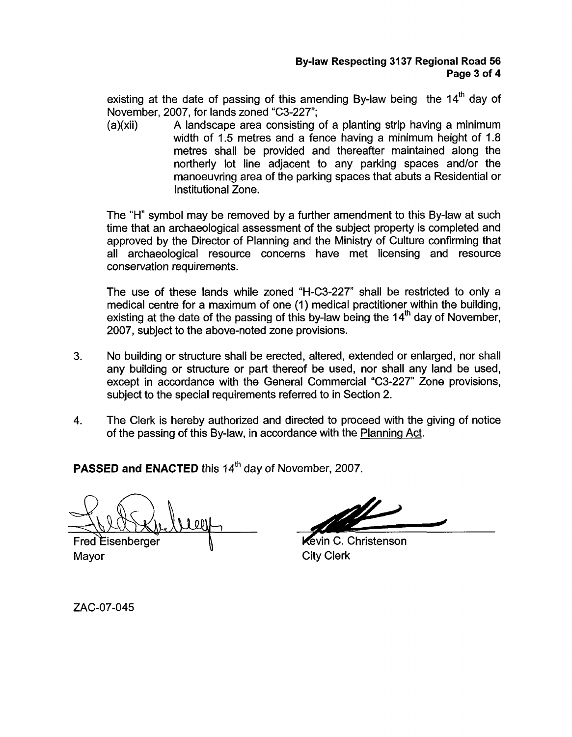existing at the date of passing of this amending By-law being the  $14<sup>th</sup>$  day of November, 2007, for lands zoned "C3-227";

(a)(xii) A landscape area consisting of a planting strip having a minimum width of 1.5 metres and a fence having a minimum height of 1.8 metres shall be provided and thereafter maintained along the northerly lot line adjacent to any parking spaces and/or the manoeuvring area of the parking spaces that abuts a Residential or Institutional Zone.

The **"H"** symbol may be removed by a further amendment to this By-law at such time that an archaeological assessment of the subject property is completed and approved by the Director of Planning and the Ministry of Culture confirming that all archaeological resource concerns have met licensing and resource conservation requirements.

The use of these lands while zoned "H-C3-227" shall be restricted to only a medical centre for a maximum of one (1) medical practitioner within the building, existing at the date of the passing of this by-law being the  $14<sup>th</sup>$  day of November, 2007, subject to the above-noted zone provisions.

- 3. No building or structure shall be erected, altered, extended or enlarged, nor shall any building or structure or part thereof be used, nor shall any land be used, except in accordance with the General Commercial "C3-227" Zone provisions, subject to the special requirements referred to in Section 2.
- **4.** The Clerk is hereby authorized and directed to proceed with the giving of notice of the passing of this By-law, in accordance with the Planning Act.

**PASSED and ENACTED** this 14<sup>th</sup> day of November, 2007.

**Fred Eisenberger** Mayor City Clerk

Kevin C. Christenson

ZAC-07-045